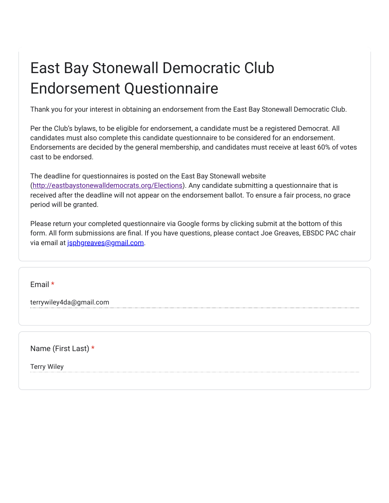## East Bay Stonewall Democratic Club Endorsement Questionnaire

Thank you for your interest in obtaining an endorsement from the East Bay Stonewall Democratic Club.

Per the Club's bylaws, to be eligible for endorsement, a candidate must be a registered Democrat. All candidates must also complete this candidate questionnaire to be considered for an endorsement. Endorsements are decided by the general membership, and candidates must receive at least 60% of votes cast to be endorsed.

The deadline for questionnaires is posted on the East Bay Stonewall website (<http://eastbaystonewalldemocrats.org/Elections>). Any candidate submitting a questionnaire that is received after the deadline will not appear on the endorsement ballot. To ensure a fair process, no grace period will be granted.

Please return your completed questionnaire via Google forms by clicking submit at the bottom of this form. All form submissions are final. If you have questions, please contact Joe Greaves, EBSDC PAC chair via email at [jsphgreaves@gmail.com](mailto:jsphgreaves@gmail.com).

Email \*

terrywiley4da@gmail.com

Name (First Last) \*

Terry Wiley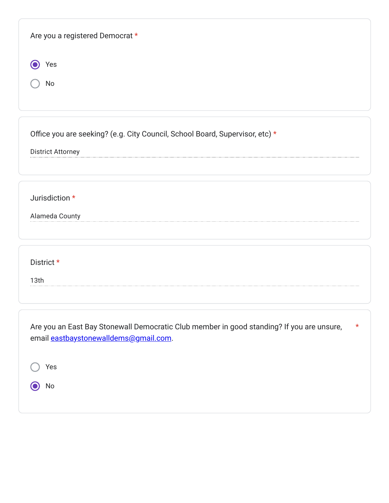| Are you a registered Democrat *                                                                                                               |
|-----------------------------------------------------------------------------------------------------------------------------------------------|
| Yes<br>No                                                                                                                                     |
| Office you are seeking? (e.g. City Council, School Board, Supervisor, etc) *                                                                  |
| <b>District Attorney</b>                                                                                                                      |
| Jurisdiction *<br>Alameda County                                                                                                              |
| District *<br>13 <sub>th</sub>                                                                                                                |
| Are you an East Bay Stonewall Democratic Club member in good standing? If you are unsure,<br>$\star$<br>email eastbaystonewalldems@gmail.com. |
| Yes<br>No                                                                                                                                     |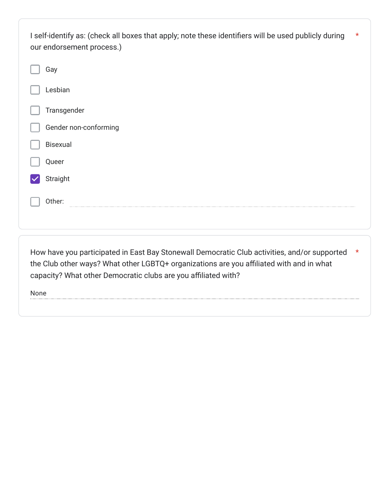| I self-identify as: (check all boxes that apply; note these identifiers will be used publicly during<br>our endorsement process.) | $\star$ |
|-----------------------------------------------------------------------------------------------------------------------------------|---------|
| Gay                                                                                                                               |         |
| Lesbian                                                                                                                           |         |
| Transgender                                                                                                                       |         |
| Gender non-conforming                                                                                                             |         |
| Bisexual                                                                                                                          |         |
| Queer                                                                                                                             |         |
| Straight                                                                                                                          |         |
| Other:                                                                                                                            |         |
|                                                                                                                                   |         |

How have you participated in East Bay Stonewall Democratic Club activities, and/or supported \*the Club other ways? What other LGBTQ+ organizations are you affiliated with and in what capacity? What other Democratic clubs are you affiliated with?

None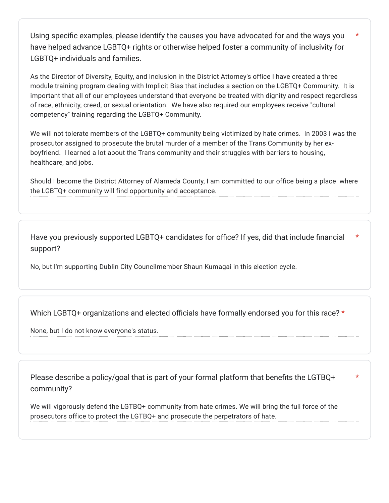Using specific examples, please identify the causes you have advocated for and the ways you have helped advance LGBTQ+ rights or otherwise helped foster a community of inclusivity for LGBTQ+ individuals and families. \*

As the Director of Diversity, Equity, and Inclusion in the District Attorney's office I have created a three module training program dealing with Implicit Bias that includes a section on the LGBTQ+ Community. It is important that all of our employees understand that everyone be treated with dignity and respect regardless of race, ethnicity, creed, or sexual orientation. We have also required our employees receive "cultural competency" training regarding the LGBTQ+ Community.

We will not tolerate members of the LGBTQ+ community being victimized by hate crimes. In 2003 I was the prosecutor assigned to prosecute the brutal murder of a member of the Trans Community by her exboyfriend. I learned a lot about the Trans community and their struggles with barriers to housing, healthcare, and jobs.

Should I become the District Attorney of Alameda County, I am committed to our office being a place where the LGBTQ+ community will find opportunity and acceptance.

Have you previously supported LGBTQ+ candidates for office? If yes, did that include financial support? \*

No, but I'm supporting Dublin City Councilmember Shaun Kumagai in this election cycle.

Which LGBTQ+ organizations and elected officials have formally endorsed you for this race? \*

None, but I do not know everyone's status.

Please describe a policy/goal that is part of your formal platform that benefits the LGTBQ+ community?

\*

We will vigorously defend the LGTBQ+ community from hate crimes. We will bring the full force of the prosecutors office to protect the LGTBQ+ and prosecute the perpetrators of hate.